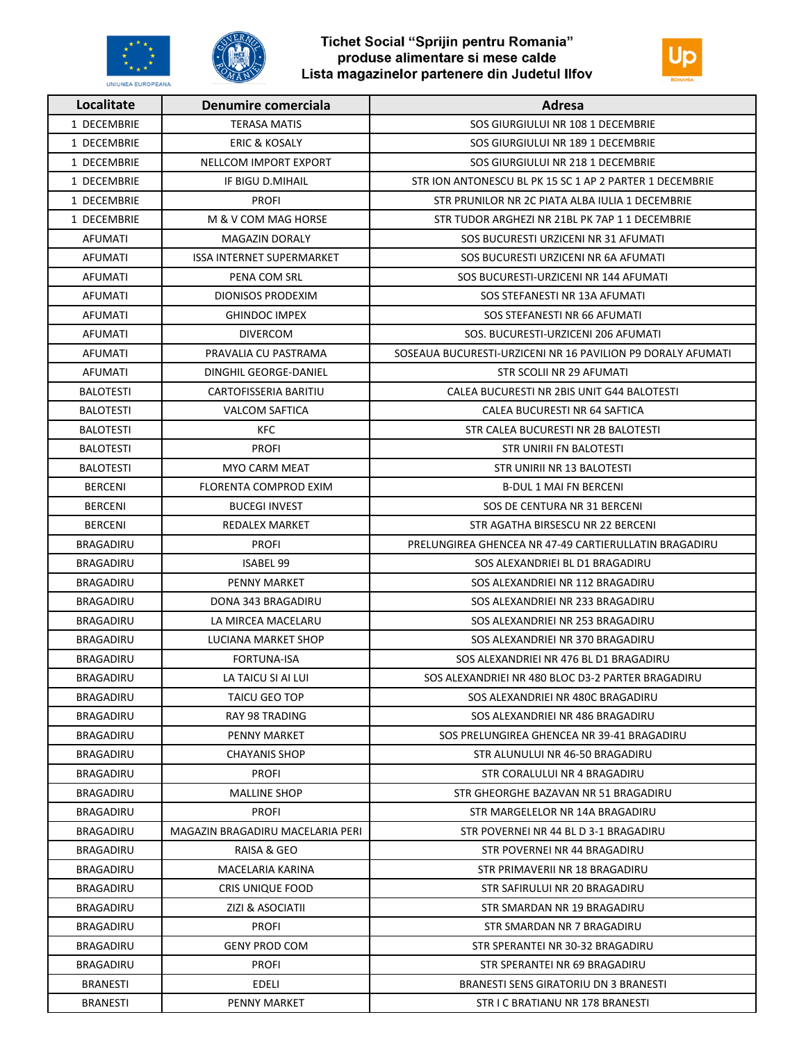

**UNIUNEA EUROPEANA** 



| Localitate       | Denumire comerciala              | Adresa                                                      |
|------------------|----------------------------------|-------------------------------------------------------------|
| 1 DECEMBRIE      | <b>TERASA MATIS</b>              | SOS GIURGIULUI NR 108 1 DECEMBRIE                           |
| 1 DECEMBRIE      | <b>ERIC &amp; KOSALY</b>         | SOS GIURGIULUI NR 189 1 DECEMBRIE                           |
| 1 DECEMBRIE      | NELLCOM IMPORT EXPORT            | SOS GIURGIULUI NR 218 1 DECEMBRIE                           |
| 1 DECEMBRIE      | IF BIGU D.MIHAIL                 | STR ION ANTONESCU BL PK 15 SC 1 AP 2 PARTER 1 DECEMBRIE     |
| 1 DECEMBRIE      | <b>PROFI</b>                     | STR PRUNILOR NR 2C PIATA ALBA IULIA 1 DECEMBRIE             |
| 1 DECEMBRIE      | M & V COM MAG HORSE              | STR TUDOR ARGHEZI NR 21BL PK 7AP 1 1 DECEMBRIE              |
| AFUMATI          | <b>MAGAZIN DORALY</b>            | SOS BUCURESTI URZICENI NR 31 AFUMATI                        |
| AFUMATI          | <b>ISSA INTERNET SUPERMARKET</b> | SOS BUCURESTI URZICENI NR 6A AFUMATI                        |
| AFUMATI          | PENA COM SRL                     | SOS BUCURESTI-URZICENI NR 144 AFUMATI                       |
| AFUMATI          | <b>DIONISOS PRODEXIM</b>         | SOS STEFANESTI NR 13A AFUMATI                               |
| AFUMATI          | <b>GHINDOC IMPEX</b>             | SOS STEFANESTI NR 66 AFUMATI                                |
| <b>AFUMATI</b>   | <b>DIVERCOM</b>                  | SOS. BUCURESTI-URZICENI 206 AFUMATI                         |
| AFUMATI          | PRAVALIA CU PASTRAMA             | SOSEAUA BUCURESTI-URZICENI NR 16 PAVILION P9 DORALY AFUMATI |
| AFUMATI          | DINGHIL GEORGE-DANIEL            | STR SCOLII NR 29 AFUMATI                                    |
| <b>BALOTESTI</b> | CARTOFISSERIA BARITIU            | CALEA BUCURESTI NR 2BIS UNIT G44 BALOTESTI                  |
| <b>BALOTESTI</b> | <b>VALCOM SAFTICA</b>            | CALEA BUCURESTI NR 64 SAFTICA                               |
| <b>BALOTESTI</b> | <b>KFC</b>                       | STR CALEA BUCURESTI NR 2B BALOTESTI                         |
| <b>BALOTESTI</b> | <b>PROFI</b>                     | STR UNIRII FN BALOTESTI                                     |
| <b>BALOTESTI</b> | MYO CARM MEAT                    | STR UNIRII NR 13 BALOTESTI                                  |
| <b>BERCENI</b>   | FLORENTA COMPROD EXIM            | <b>B-DUL 1 MAI FN BERCENI</b>                               |
| <b>BERCENI</b>   | <b>BUCEGI INVEST</b>             | SOS DE CENTURA NR 31 BERCENI                                |
| <b>BERCENI</b>   | REDALEX MARKET                   | STR AGATHA BIRSESCU NR 22 BERCENI                           |
| BRAGADIRU        | <b>PROFI</b>                     | PRELUNGIREA GHENCEA NR 47-49 CARTIERULLATIN BRAGADIRU       |
| <b>BRAGADIRU</b> | <b>ISABEL 99</b>                 | SOS ALEXANDRIEI BL D1 BRAGADIRU                             |
| BRAGADIRU        | PENNY MARKET                     | SOS ALEXANDRIEI NR 112 BRAGADIRU                            |
| BRAGADIRU        | DONA 343 BRAGADIRU               | SOS ALEXANDRIEI NR 233 BRAGADIRU                            |
| <b>BRAGADIRU</b> | LA MIRCEA MACELARU               | SOS ALEXANDRIEI NR 253 BRAGADIRU                            |
| <b>BRAGADIRU</b> | LUCIANA MARKET SHOP              | SOS ALEXANDRIEI NR 370 BRAGADIRU                            |
| BRAGADIRU        | FORTUNA-ISA                      | SOS ALEXANDRIEI NR 476 BL D1 BRAGADIRU                      |
| <b>BRAGADIRU</b> | LA TAICU SI AI LUI               | SOS ALEXANDRIEI NR 480 BLOC D3-2 PARTER BRAGADIRU           |
| BRAGADIRU        | <b>TAICU GEO TOP</b>             | SOS ALEXANDRIEI NR 480C BRAGADIRU                           |
| BRAGADIRU        | RAY 98 TRADING                   | SOS ALEXANDRIEI NR 486 BRAGADIRU                            |
| <b>BRAGADIRU</b> | PENNY MARKET                     | SOS PRELUNGIREA GHENCEA NR 39-41 BRAGADIRU                  |
| BRAGADIRU        | <b>CHAYANIS SHOP</b>             | STR ALUNULUI NR 46-50 BRAGADIRU                             |
| BRAGADIRU        | <b>PROFI</b>                     | STR CORALULUI NR 4 BRAGADIRU                                |
| BRAGADIRU        | <b>MALLINE SHOP</b>              | STR GHEORGHE BAZAVAN NR 51 BRAGADIRU                        |
| <b>BRAGADIRU</b> | <b>PROFI</b>                     | STR MARGELELOR NR 14A BRAGADIRU                             |
| <b>BRAGADIRU</b> | MAGAZIN BRAGADIRU MACELARIA PERI | STR POVERNEI NR 44 BL D 3-1 BRAGADIRU                       |
| BRAGADIRU        | RAISA & GEO                      | STR POVERNEI NR 44 BRAGADIRU                                |
| <b>BRAGADIRU</b> | MACELARIA KARINA                 | STR PRIMAVERII NR 18 BRAGADIRU                              |
| BRAGADIRU        | CRIS UNIQUE FOOD                 | STR SAFIRULUI NR 20 BRAGADIRU                               |
| <b>BRAGADIRU</b> | ZIZI & ASOCIATII                 | STR SMARDAN NR 19 BRAGADIRU                                 |
| <b>BRAGADIRU</b> | <b>PROFI</b>                     | STR SMARDAN NR 7 BRAGADIRU                                  |
| <b>BRAGADIRU</b> | <b>GENY PROD COM</b>             | STR SPERANTEI NR 30-32 BRAGADIRU                            |
| BRAGADIRU        | <b>PROFI</b>                     | STR SPERANTEI NR 69 BRAGADIRU                               |
| <b>BRANESTI</b>  | EDELI                            | BRANESTI SENS GIRATORIU DN 3 BRANESTI                       |
| <b>BRANESTI</b>  | PENNY MARKET                     | STR I C BRATIANU NR 178 BRANESTI                            |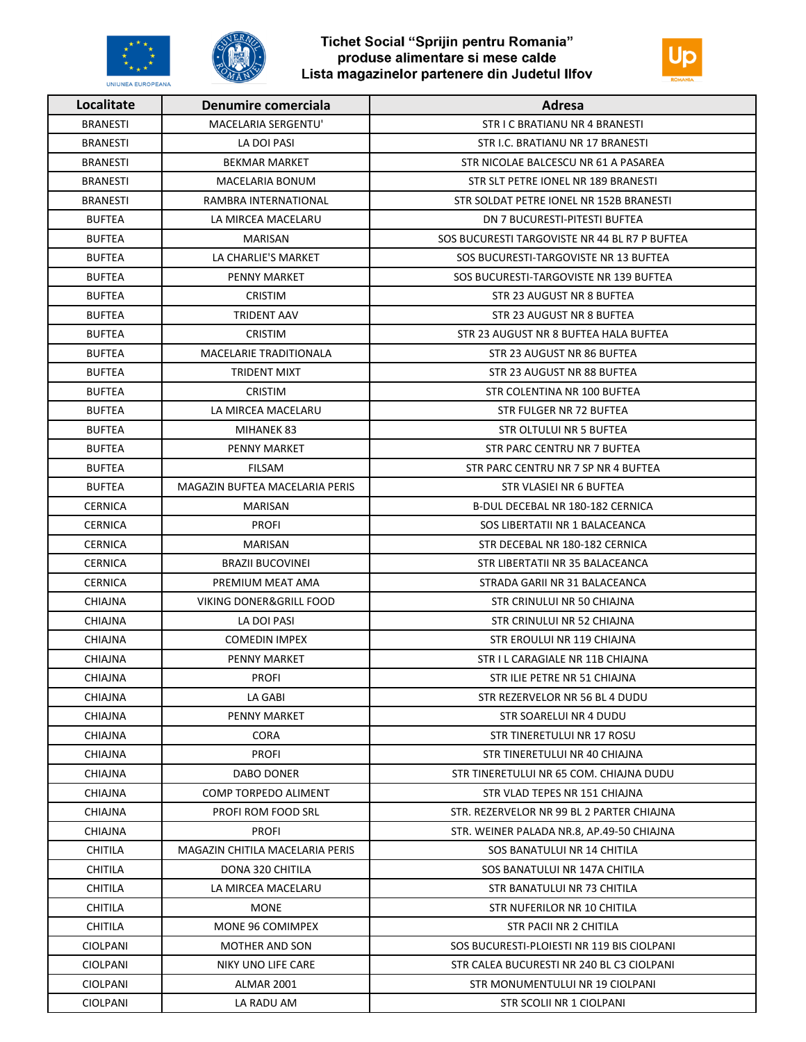

**UNIUNEA EUROPEANA** 



| Localitate      | Denumire comerciala             | Adresa                                        |
|-----------------|---------------------------------|-----------------------------------------------|
| <b>BRANESTI</b> | <b>MACELARIA SERGENTU'</b>      | STR I C BRATIANU NR 4 BRANESTI                |
| <b>BRANESTI</b> | LA DOI PASI                     | STR I.C. BRATIANU NR 17 BRANESTI              |
| <b>BRANESTI</b> | <b>BEKMAR MARKET</b>            | STR NICOLAE BALCESCU NR 61 A PASAREA          |
| <b>BRANESTI</b> | MACELARIA BONUM                 | STR SLT PETRE IONEL NR 189 BRANESTI           |
| BRANESTI        | RAMBRA INTERNATIONAL            | STR SOLDAT PETRE IONEL NR 152B BRANESTI       |
| <b>BUFTEA</b>   | LA MIRCEA MACELARU              | DN 7 BUCURESTI-PITESTI BUFTEA                 |
| <b>BUFTEA</b>   | MARISAN                         | SOS BUCURESTI TARGOVISTE NR 44 BL R7 P BUFTEA |
| <b>BUFTEA</b>   | LA CHARLIE'S MARKET             | SOS BUCURESTI-TARGOVISTE NR 13 BUFTEA         |
| <b>BUFTEA</b>   | PENNY MARKET                    | SOS BUCURESTI-TARGOVISTE NR 139 BUFTEA        |
| <b>BUFTEA</b>   | <b>CRISTIM</b>                  | STR 23 AUGUST NR 8 BUFTEA                     |
| <b>BUFTEA</b>   | <b>TRIDENT AAV</b>              | STR 23 AUGUST NR 8 BUFTEA                     |
| <b>BUFTEA</b>   | <b>CRISTIM</b>                  | STR 23 AUGUST NR 8 BUFTEA HALA BUFTEA         |
| <b>BUFTEA</b>   | <b>MACELARIE TRADITIONALA</b>   | STR 23 AUGUST NR 86 BUFTEA                    |
| <b>BUFTEA</b>   | <b>TRIDENT MIXT</b>             | STR 23 AUGUST NR 88 BUFTEA                    |
| <b>BUFTEA</b>   | <b>CRISTIM</b>                  | STR COLENTINA NR 100 BUFTEA                   |
| <b>BUFTEA</b>   | LA MIRCEA MACELARU              | STR FULGER NR 72 BUFTEA                       |
| <b>BUFTEA</b>   | MIHANEK 83                      | STR OLTULUI NR 5 BUFTEA                       |
| <b>BUFTEA</b>   | PENNY MARKET                    | STR PARC CENTRU NR 7 BUFTEA                   |
| <b>BUFTEA</b>   | <b>FILSAM</b>                   | STR PARC CENTRU NR 7 SP NR 4 BUFTEA           |
| <b>BUFTEA</b>   | MAGAZIN BUFTEA MACELARIA PERIS  | STR VLASIEI NR 6 BUFTEA                       |
| <b>CERNICA</b>  | MARISAN                         | B-DUL DECEBAL NR 180-182 CERNICA              |
| <b>CERNICA</b>  | <b>PROFI</b>                    | SOS LIBERTATII NR 1 BALACEANCA                |
| <b>CERNICA</b>  | <b>MARISAN</b>                  | STR DECEBAL NR 180-182 CERNICA                |
| <b>CERNICA</b>  | <b>BRAZII BUCOVINEI</b>         | STR LIBERTATII NR 35 BALACEANCA               |
| <b>CERNICA</b>  | PREMIUM MEAT AMA                | STRADA GARII NR 31 BALACEANCA                 |
| <b>CHIAJNA</b>  | VIKING DONER&GRILL FOOD         | STR CRINULUI NR 50 CHIAJNA                    |
| <b>CHIAJNA</b>  | LA DOI PASI                     | STR CRINULUI NR 52 CHIAJNA                    |
| CHIAJNA         | <b>COMEDIN IMPEX</b>            | STR EROULUI NR 119 CHIAJNA                    |
| <b>CHIAJNA</b>  | PENNY MARKET                    | STR I L CARAGIALE NR 11B CHIAJNA              |
| <b>CHIAJNA</b>  | <b>PROFI</b>                    | STR ILIE PETRE NR 51 CHIAJNA                  |
| CHIAJNA         | LA GABI                         | STR REZERVELOR NR 56 BL 4 DUDU                |
| CHIAJNA         | PENNY MARKET                    | STR SOARELUI NR 4 DUDU                        |
| <b>CHIAJNA</b>  | <b>CORA</b>                     | STR TINERETULUI NR 17 ROSU                    |
| CHIAJNA         | <b>PROFI</b>                    | STR TINERETULUI NR 40 CHIAJNA                 |
| CHIAJNA         | <b>DABO DONER</b>               | STR TINERETULUI NR 65 COM. CHIAJNA DUDU       |
| CHIAJNA         | COMP TORPEDO ALIMENT            | STR VLAD TEPES NR 151 CHIAJNA                 |
| CHIAJNA         | PROFI ROM FOOD SRL              | STR. REZERVELOR NR 99 BL 2 PARTER CHIAJNA     |
| CHIAJNA         | <b>PROFI</b>                    | STR. WEINER PALADA NR.8, AP.49-50 CHIAJNA     |
| <b>CHITILA</b>  | MAGAZIN CHITILA MACELARIA PERIS | SOS BANATULUI NR 14 CHITILA                   |
| CHITILA         | DONA 320 CHITILA                | SOS BANATULUI NR 147A CHITILA                 |
| CHITILA         | LA MIRCEA MACELARU              | STR BANATULUI NR 73 CHITILA                   |
| <b>CHITILA</b>  | <b>MONE</b>                     | STR NUFERILOR NR 10 CHITILA                   |
| <b>CHITILA</b>  | MONE 96 COMIMPEX                | STR PACII NR 2 CHITILA                        |
| <b>CIOLPANI</b> | MOTHER AND SON                  | SOS BUCURESTI-PLOIESTI NR 119 BIS CIOLPANI    |
| <b>CIOLPANI</b> | NIKY UNO LIFE CARE              | STR CALEA BUCURESTI NR 240 BL C3 CIOLPANI     |
| <b>CIOLPANI</b> | ALMAR 2001                      | STR MONUMENTULUI NR 19 CIOLPANI               |
| <b>CIOLPANI</b> | LA RADU AM                      | STR SCOLII NR 1 CIOLPANI                      |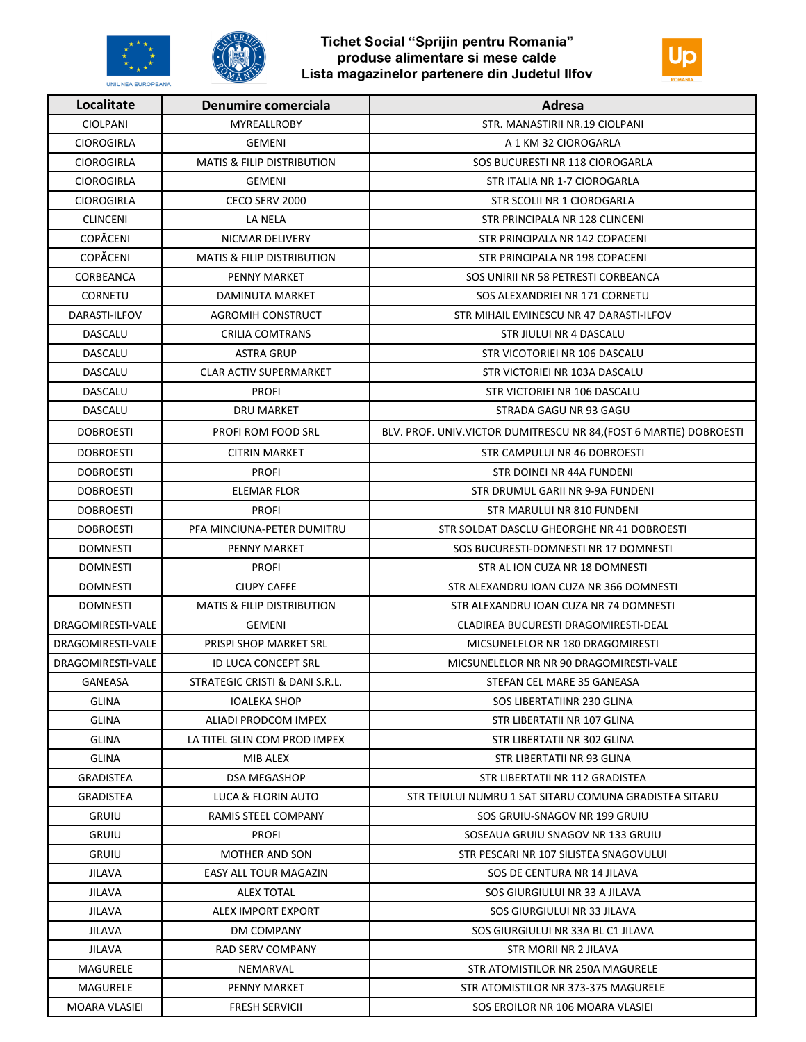



| Localitate        | <b>Denumire comerciala</b>            | Adresa                                                             |
|-------------------|---------------------------------------|--------------------------------------------------------------------|
| <b>CIOLPANI</b>   | MYREALLROBY                           | STR. MANASTIRII NR.19 CIOLPANI                                     |
| <b>CIOROGIRLA</b> | <b>GEMENI</b>                         | A 1 KM 32 CIOROGARLA                                               |
| <b>CIOROGIRLA</b> | <b>MATIS &amp; FILIP DISTRIBUTION</b> | SOS BUCURESTI NR 118 CIOROGARLA                                    |
| <b>CIOROGIRLA</b> | GEMENI                                | STR ITALIA NR 1-7 CIOROGARLA                                       |
| <b>CIOROGIRLA</b> | CECO SERV 2000                        | STR SCOLII NR 1 CIOROGARLA                                         |
| <b>CLINCENI</b>   | LA NELA                               | STR PRINCIPALA NR 128 CLINCENI                                     |
| <b>COPĂCENI</b>   | NICMAR DELIVERY                       | STR PRINCIPALA NR 142 COPACENI                                     |
| <b>COPĂCENI</b>   | <b>MATIS &amp; FILIP DISTRIBUTION</b> | STR PRINCIPALA NR 198 COPACENI                                     |
| CORBEANCA         | PENNY MARKET                          | SOS UNIRII NR 58 PETRESTI CORBEANCA                                |
| CORNETU           | DAMINUTA MARKET                       | SOS ALEXANDRIEI NR 171 CORNETU                                     |
| DARASTI-ILFOV     | AGROMIH CONSTRUCT                     | STR MIHAIL EMINESCU NR 47 DARASTI-ILFOV                            |
| DASCALU           | <b>CRILIA COMTRANS</b>                | STR JIULUI NR 4 DASCALU                                            |
| DASCALU           | <b>ASTRA GRUP</b>                     | STR VICOTORIEI NR 106 DASCALU                                      |
| DASCALU           | <b>CLAR ACTIV SUPERMARKET</b>         | STR VICTORIEI NR 103A DASCALU                                      |
| DASCALU           | <b>PROFI</b>                          | STR VICTORIEI NR 106 DASCALU                                       |
| DASCALU           | DRU MARKET                            | STRADA GAGU NR 93 GAGU                                             |
| <b>DOBROESTI</b>  | PROFI ROM FOOD SRL                    | BLV. PROF. UNIV.VICTOR DUMITRESCU NR 84, (FOST 6 MARTIE) DOBROESTI |
| <b>DOBROESTI</b>  | <b>CITRIN MARKET</b>                  | <b>STR CAMPULUI NR 46 DOBROESTI</b>                                |
| <b>DOBROESTI</b>  | <b>PROFI</b>                          | STR DOINEI NR 44A FUNDENI                                          |
| <b>DOBROESTI</b>  | ELEMAR FLOR                           | STR DRUMUL GARII NR 9-9A FUNDENI                                   |
| <b>DOBROESTI</b>  | <b>PROFI</b>                          | STR MARULUI NR 810 FUNDENI                                         |
| <b>DOBROESTI</b>  | PFA MINCIUNA-PETER DUMITRU            | STR SOLDAT DASCLU GHEORGHE NR 41 DOBROESTI                         |
| <b>DOMNESTI</b>   | PENNY MARKET                          | SOS BUCURESTI-DOMNESTI NR 17 DOMNESTI                              |
| <b>DOMNESTI</b>   | <b>PROFI</b>                          | STR AL ION CUZA NR 18 DOMNESTI                                     |
| <b>DOMNESTI</b>   | <b>CIUPY CAFFE</b>                    | STR ALEXANDRU IOAN CUZA NR 366 DOMNESTI                            |
| <b>DOMNESTI</b>   | <b>MATIS &amp; FILIP DISTRIBUTION</b> | STR ALEXANDRU JOAN CUZA NR 74 DOMNESTI                             |
| DRAGOMIRESTI-VALE | <b>GEMENI</b>                         | CLADIREA BUCURESTI DRAGOMIRESTI-DEAL                               |
| DRAGOMIRESTI-VALE | PRISPI SHOP MARKET SRL                | MICSUNELELOR NR 180 DRAGOMIRESTI                                   |
| DRAGOMIRESTI-VALE | ID LUCA CONCEPT SRL                   | MICSUNELELOR NR NR 90 DRAGOMIRESTI-VALE                            |
| GANEASA           | STRATEGIC CRISTI & DANI S.R.L.        | STEFAN CEL MARE 35 GANEASA                                         |
| GLINA             | <b>IOALEKA SHOP</b>                   | SOS LIBERTATIINR 230 GLINA                                         |
| <b>GLINA</b>      | ALIADI PRODCOM IMPEX                  | STR LIBERTATII NR 107 GLINA                                        |
| <b>GLINA</b>      | LA TITEL GLIN COM PROD IMPEX          | STR LIBERTATII NR 302 GLINA                                        |
| <b>GLINA</b>      | MIB ALEX                              | STR LIBERTATII NR 93 GLINA                                         |
| <b>GRADISTEA</b>  | <b>DSA MEGASHOP</b>                   | STR LIBERTATII NR 112 GRADISTEA                                    |
| <b>GRADISTEA</b>  | LUCA & FLORIN AUTO                    | STR TEIULUI NUMRU 1 SAT SITARU COMUNA GRADISTEA SITARU             |
| <b>GRUIU</b>      | RAMIS STEEL COMPANY                   | SOS GRUIU-SNAGOV NR 199 GRUIU                                      |
| <b>GRUIU</b>      | <b>PROFI</b>                          | SOSEAUA GRUIU SNAGOV NR 133 GRUIU                                  |
| <b>GRUIU</b>      | MOTHER AND SON                        | STR PESCARI NR 107 SILISTEA SNAGOVULUI                             |
| <b>JILAVA</b>     | EASY ALL TOUR MAGAZIN                 | SOS DE CENTURA NR 14 JILAVA                                        |
| JILAVA            | <b>ALEX TOTAL</b>                     | SOS GIURGIULUI NR 33 A JILAVA                                      |
| <b>JILAVA</b>     | ALEX IMPORT EXPORT                    | SOS GIURGIULUI NR 33 JILAVA                                        |
| <b>JILAVA</b>     | DM COMPANY                            | SOS GIURGIULUI NR 33A BL C1 JILAVA                                 |
| <b>JILAVA</b>     | RAD SERV COMPANY                      | STR MORII NR 2 JILAVA                                              |
| MAGURELE          | NEMARVAL                              | STR ATOMISTILOR NR 250A MAGURELE                                   |
| MAGURELE          | PENNY MARKET                          | STR ATOMISTILOR NR 373-375 MAGURELE                                |
| MOARA VLASIEI     | <b>FRESH SERVICII</b>                 | SOS EROILOR NR 106 MOARA VLASIEI                                   |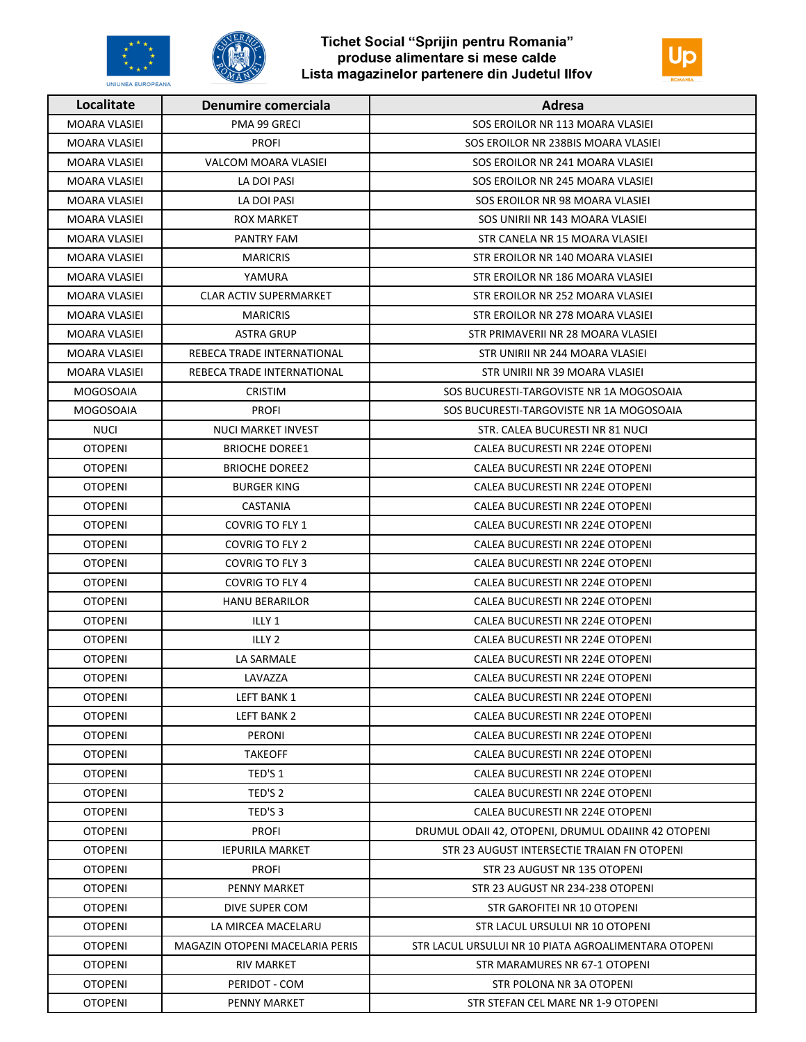



| Localitate           | Denumire comerciala             | Adresa                                               |
|----------------------|---------------------------------|------------------------------------------------------|
| <b>MOARA VLASIEI</b> | PMA 99 GRECI                    | SOS EROILOR NR 113 MOARA VLASIEI                     |
| <b>MOARA VLASIEI</b> | <b>PROFI</b>                    | SOS EROILOR NR 238BIS MOARA VLASIEI                  |
| <b>MOARA VLASIEI</b> | VALCOM MOARA VLASIEI            | SOS EROILOR NR 241 MOARA VLASIEI                     |
| <b>MOARA VLASIEI</b> | LA DOI PASI                     | SOS EROILOR NR 245 MOARA VLASIEI                     |
| MOARA VLASIEI        | LA DOI PASI                     | SOS EROILOR NR 98 MOARA VLASIEI                      |
| MOARA VLASIEI        | ROX MARKET                      | SOS UNIRII NR 143 MOARA VLASIEI                      |
| <b>MOARA VLASIEI</b> | PANTRY FAM                      | STR CANELA NR 15 MOARA VLASIEI                       |
| <b>MOARA VLASIEI</b> | <b>MARICRIS</b>                 | STR EROILOR NR 140 MOARA VLASIEI                     |
| MOARA VLASIEI        | YAMURA                          | STR EROILOR NR 186 MOARA VLASIEI                     |
| <b>MOARA VLASIEI</b> | <b>CLAR ACTIV SUPERMARKET</b>   | STR EROILOR NR 252 MOARA VLASIEI                     |
| MOARA VLASIEI        | <b>MARICRIS</b>                 | STR EROILOR NR 278 MOARA VLASIEI                     |
| <b>MOARA VLASIEI</b> | <b>ASTRA GRUP</b>               | STR PRIMAVERII NR 28 MOARA VLASIEI                   |
| MOARA VLASIEI        | REBECA TRADE INTERNATIONAL      | STR UNIRII NR 244 MOARA VLASIEI                      |
| MOARA VLASIEI        | REBECA TRADE INTERNATIONAL      | STR UNIRII NR 39 MOARA VLASIEI                       |
| <b>MOGOSOAIA</b>     | <b>CRISTIM</b>                  | SOS BUCURESTI-TARGOVISTE NR 1A MOGOSOAIA             |
| <b>MOGOSOAIA</b>     | <b>PROFI</b>                    | SOS BUCURESTI-TARGOVISTE NR 1A MOGOSOAIA             |
| <b>NUCI</b>          | NUCI MARKET INVEST              | STR. CALEA BUCURESTI NR 81 NUCI                      |
| <b>OTOPENI</b>       | <b>BRIOCHE DOREE1</b>           | CALEA BUCURESTI NR 224E OTOPENI                      |
| <b>OTOPENI</b>       | <b>BRIOCHE DOREE2</b>           | CALEA BUCURESTI NR 224E OTOPENI                      |
| <b>OTOPENI</b>       | <b>BURGER KING</b>              | CALEA BUCURESTI NR 224E OTOPENI                      |
| <b>OTOPENI</b>       | CASTANIA                        | CALEA BUCURESTI NR 224E OTOPENI                      |
| <b>OTOPENI</b>       | COVRIG TO FLY 1                 | CALEA BUCURESTI NR 224E OTOPENI                      |
| <b>OTOPENI</b>       | COVRIG TO FLY 2                 | CALEA BUCURESTI NR 224E OTOPENI                      |
| <b>OTOPENI</b>       | <b>COVRIG TO FLY 3</b>          | CALEA BUCURESTI NR 224E OTOPENI                      |
| <b>OTOPENI</b>       | COVRIG TO FLY 4                 | CALEA BUCURESTI NR 224E OTOPENI                      |
| <b>OTOPENI</b>       | <b>HANU BERARILOR</b>           | CALEA BUCURESTI NR 224E OTOPENI                      |
| <b>OTOPENI</b>       | ILLY 1                          | CALEA BUCURESTI NR 224E OTOPENI                      |
| <b>OTOPENI</b>       | ILLY <sub>2</sub>               | CALEA BUCURESTI NR 224E OTOPENI                      |
| <b>OTOPENI</b>       | LA SARMALE                      | CALEA BUCURESTI NR 224E OTOPENI                      |
| <b>OTOPENI</b>       | LAVAZZA                         | CALEA BUCURESTI NR 224E OTOPENI                      |
| <b>OTOPENI</b>       | LEFT BANK 1                     | CALEA BUCURESTI NR 224E OTOPENI                      |
| <b>OTOPENI</b>       | LEFT BANK 2                     | CALEA BUCURESTI NR 224E OTOPENI                      |
| <b>OTOPENI</b>       | PERONI                          | CALEA BUCURESTI NR 224E OTOPENI                      |
| <b>OTOPENI</b>       | TAKEOFF                         | CALEA BUCURESTI NR 224E OTOPENI                      |
| <b>OTOPENI</b>       | TED'S 1                         | CALEA BUCURESTI NR 224E OTOPENI                      |
| <b>OTOPENI</b>       | TED'S 2                         | CALEA BUCURESTI NR 224E OTOPENI                      |
| <b>OTOPENI</b>       | TED'S 3                         | CALEA BUCURESTI NR 224E OTOPENI                      |
| <b>OTOPENI</b>       | <b>PROFI</b>                    | DRUMUL ODAII 42, OTOPENI, DRUMUL ODAIINR 42 OTOPENI  |
| <b>OTOPENI</b>       | <b>IEPURILA MARKET</b>          | STR 23 AUGUST INTERSECTIE TRAIAN FN OTOPENI          |
| <b>OTOPENI</b>       | <b>PROFI</b>                    | STR 23 AUGUST NR 135 OTOPENI                         |
| <b>OTOPENI</b>       | PENNY MARKET                    | STR 23 AUGUST NR 234-238 OTOPENI                     |
| <b>OTOPENI</b>       | DIVE SUPER COM                  | STR GAROFITEI NR 10 OTOPENI                          |
| <b>OTOPENI</b>       | LA MIRCEA MACELARU              | STR LACUL URSULUI NR 10 OTOPENI                      |
| <b>OTOPENI</b>       | MAGAZIN OTOPENI MACELARIA PERIS | STR LACUL URSULUI NR 10 PIATA AGROALIMENTARA OTOPENI |
| <b>OTOPENI</b>       | RIV MARKET                      | STR MARAMURES NR 67-1 OTOPENI                        |
| <b>OTOPENI</b>       | PERIDOT - COM                   | STR POLONA NR 3A OTOPENI                             |
| <b>OTOPENI</b>       | PENNY MARKET                    | STR STEFAN CEL MARE NR 1-9 OTOPENI                   |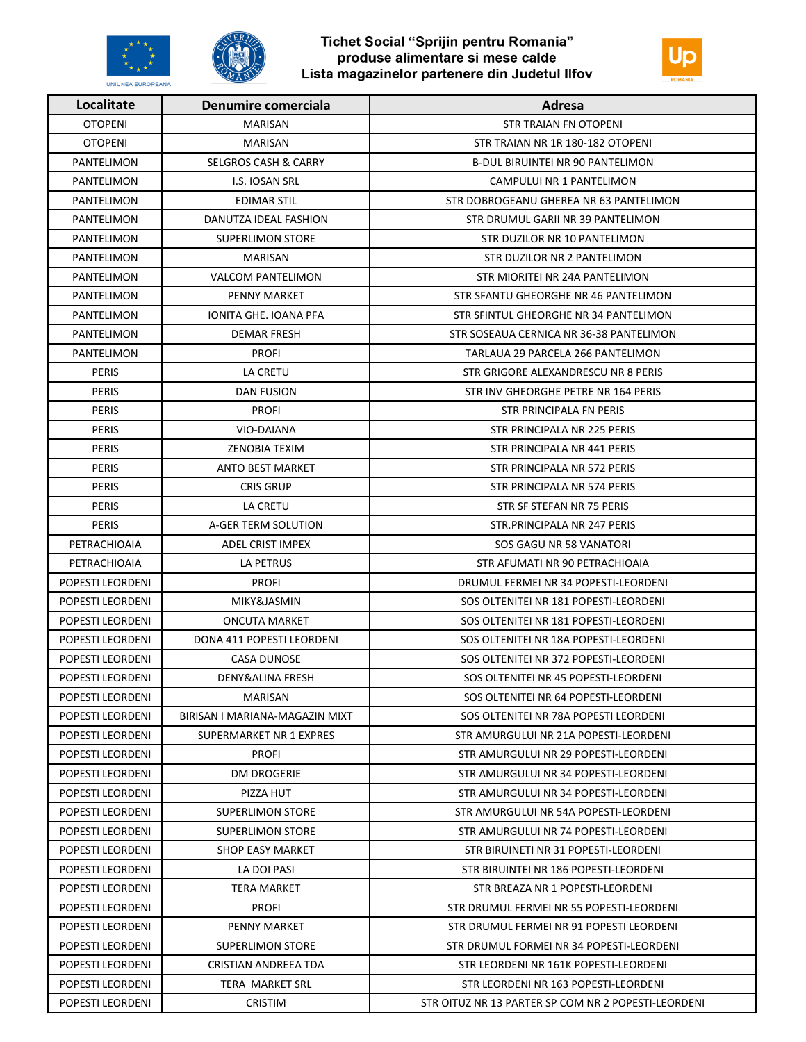



| Localitate        | Denumire comerciala             | Adresa                                              |
|-------------------|---------------------------------|-----------------------------------------------------|
| <b>OTOPENI</b>    | <b>MARISAN</b>                  | <b>STR TRAIAN FN OTOPENI</b>                        |
| <b>OTOPENI</b>    | MARISAN                         | STR TRAIAN NR 1R 180-182 OTOPENI                    |
| PANTELIMON        | <b>SELGROS CASH &amp; CARRY</b> | <b>B-DUL BIRUINTEI NR 90 PANTELIMON</b>             |
| PANTELIMON        | <b>I.S. IOSAN SRL</b>           | CAMPULUI NR 1 PANTELIMON                            |
| PANTELIMON        | EDIMAR STIL                     | STR DOBROGEANU GHEREA NR 63 PANTELIMON              |
| PANTELIMON        | DANUTZA IDEAL FASHION           | STR DRUMUL GARII NR 39 PANTELIMON                   |
| PANTELIMON        | <b>SUPERLIMON STORE</b>         | STR DUZILOR NR 10 PANTELIMON                        |
| PANTELIMON        | <b>MARISAN</b>                  | STR DUZILOR NR 2 PANTELIMON                         |
| PANTELIMON        | <b>VALCOM PANTELIMON</b>        | STR MIORITEI NR 24A PANTELIMON                      |
| <b>PANTELIMON</b> | PENNY MARKET                    | STR SFANTU GHEORGHE NR 46 PANTELIMON                |
| PANTELIMON        | <b>IONITA GHE. IOANA PFA</b>    | STR SFINTUL GHEORGHE NR 34 PANTELIMON               |
| <b>PANTELIMON</b> | <b>DEMAR FRESH</b>              | STR SOSEAUA CERNICA NR 36-38 PANTELIMON             |
| PANTELIMON        | <b>PROFI</b>                    | TARLAUA 29 PARCELA 266 PANTELIMON                   |
| <b>PERIS</b>      | LA CRETU                        | STR GRIGORE ALEXANDRESCU NR 8 PERIS                 |
| <b>PERIS</b>      | <b>DAN FUSION</b>               | STR INV GHEORGHE PETRE NR 164 PERIS                 |
| <b>PERIS</b>      | <b>PROFI</b>                    | STR PRINCIPALA FN PERIS                             |
| PERIS             | VIO-DAIANA                      | STR PRINCIPALA NR 225 PERIS                         |
| PERIS             | ZENOBIA TEXIM                   | STR PRINCIPALA NR 441 PERIS                         |
| PERIS             | <b>ANTO BEST MARKET</b>         | STR PRINCIPALA NR 572 PERIS                         |
| <b>PERIS</b>      | <b>CRIS GRUP</b>                | STR PRINCIPALA NR 574 PERIS                         |
| PERIS             | LA CRETU                        | STR SF STEFAN NR 75 PERIS                           |
| <b>PERIS</b>      | A-GER TERM SOLUTION             | STR. PRINCIPALA NR 247 PERIS                        |
| PETRACHIOAIA      | ADEL CRIST IMPEX                | SOS GAGU NR 58 VANATORI                             |
| PETRACHIOAIA      | LA PETRUS                       | STR AFUMATI NR 90 PETRACHIOAIA                      |
| POPESTI LEORDENI  | <b>PROFI</b>                    | DRUMUL FERMEI NR 34 POPESTI-LEORDENI                |
| POPESTI LEORDENI  | MIKY&JASMIN                     | SOS OLTENITEI NR 181 POPESTI-LEORDENI               |
| POPESTI LEORDENI  | <b>ONCUTA MARKET</b>            | SOS OLTENITEI NR 181 POPESTI-LEORDENI               |
| POPESTI LEORDENI  | DONA 411 POPESTI LEORDENI       | SOS OLTENITEI NR 18A POPESTI-LEORDENI               |
| POPESTI LEORDENI  | <b>CASA DUNOSE</b>              | SOS OLTENITEI NR 372 POPESTI-LEORDENI               |
| POPESTI LEORDENI  | DENY&ALINA FRESH                | SOS OLTENITEI NR 45 POPESTI-LEORDENI                |
| POPESTI LEORDENI  | <b>MARISAN</b>                  | SOS OLTENITEI NR 64 POPESTI-LEORDENI                |
| POPESTI LEORDENI  | BIRISAN I MARIANA-MAGAZIN MIXT  | SOS OLTENITEI NR 78A POPESTI LEORDENI               |
| POPESTI LEORDENI  | SUPERMARKET NR 1 EXPRES         | STR AMURGULUI NR 21A POPESTI-LEORDENI               |
| POPESTI LEORDENI  | PROFI                           | STR AMURGULUI NR 29 POPESTI-LEORDENI                |
| POPESTI LEORDENI  | <b>DM DROGERIE</b>              | STR AMURGULUI NR 34 POPESTI-LEORDENI                |
| POPESTI LEORDENI  | PIZZA HUT                       | STR AMURGULUI NR 34 POPESTI-LEORDENI                |
| POPESTI LEORDENI  | SUPERLIMON STORE                | STR AMURGULUI NR 54A POPESTI-LEORDENI               |
| POPESTI LEORDENI  | SUPERLIMON STORE                | STR AMURGULUI NR 74 POPESTI-LEORDENI                |
| POPESTI LEORDENI  | SHOP EASY MARKET                | STR BIRUINETI NR 31 POPESTI-LEORDENI                |
| POPESTI LEORDENI  | LA DOI PASI                     | STR BIRUINTEI NR 186 POPESTI-LEORDENI               |
| POPESTI LEORDENI  | TERA MARKET                     | STR BREAZA NR 1 POPESTI-LEORDENI                    |
| POPESTI LEORDENI  | PROFI                           | STR DRUMUL FERMEI NR 55 POPESTI-LEORDENI            |
| POPESTI LEORDENI  | PENNY MARKET                    | STR DRUMUL FERMEI NR 91 POPESTI LEORDENI            |
| POPESTI LEORDENI  | <b>SUPERLIMON STORE</b>         | STR DRUMUL FORMEI NR 34 POPESTI-LEORDENI            |
| POPESTI LEORDENI  | CRISTIAN ANDREEA TDA            | STR LEORDENI NR 161K POPESTI-LEORDENI               |
| POPESTI LEORDENI  | TERA MARKET SRL                 | STR LEORDENI NR 163 POPESTI-LEORDENI                |
| POPESTI LEORDENI  | <b>CRISTIM</b>                  | STR OITUZ NR 13 PARTER SP COM NR 2 POPESTI-LEORDENI |